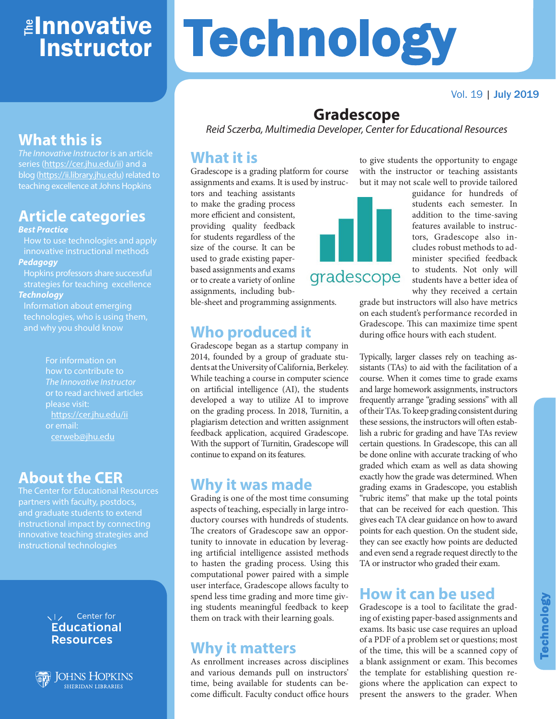## <mark>≇Innovative</mark> **Instructor**

## **What this is**

*The Innovative Instructor* is an article series (<https://cer.jhu.edu/ii>) and a blog [\(https://ii.library.jhu.edu\)](https://ii.library.jhu.edu) related to teaching excellence at Johns Hopkins

## **Article categories**

#### *Best Practice*

How to use technologies and apply innovative instructional methods *Pedagogy*

Hopkins professors share successful strategies for teaching excellence *Technology*

Information about emerging technologies, who is using them,

and why you should know

For information on how to contribute to *The Innovative Instructor* or to read archived articles please visit: <https://cer.jhu.edu/ii> or email: [cerweb@jhu.edu](mailto:cerweb%40jhu.edu?subject=)

### **About the CER**

The Center for Educational Resources partners with faculty, postdocs, and graduate students to extend instructional impact by connecting innovative teaching strategies and instructional technologies

#### VI<sub>z</sub> Center for **Educational Resources**



**JOHNS HOPKINS SHERIDAN LIBRARIES** 

# **Technology**

Vol. 19 | July 2019

## **Gradescope**

*Reid Sczerba, Multimedia Developer, Center for Educational Resources*

#### **What it is**

Gradescope is a grading platform for course assignments and exams. It is used by instruc-

tors and teaching assistants to make the grading process more efficient and consistent, providing quality feedback for students regardless of the size of the course. It can be used to grade existing paperbased assignments and exams or to create a variety of online assignments, including bubble-sheet and programming assignments.

**Who produced it**

continue to expand on its features.

**Why it was made**

**Why it matters**

As enrollment increases across disciplines and various demands pull on instructors' time, being available for students can become difficult. Faculty conduct office hours

Grading is one of the most time consuming aspects of teaching, especially in large introductory courses with hundreds of students. The creators of Gradescope saw an opportunity to innovate in education by leveraging artificial intelligence assisted methods to hasten the grading process. Using this computational power paired with a simple user interface, Gradescope allows faculty to spend less time grading and more time giving students meaningful feedback to keep them on track with their learning goals.

Gradescope began as a startup company in 2014, founded by a group of graduate students at the University of California, Berkeley. While teaching a course in computer science on artificial intelligence (AI), the students developed a way to utilize AI to improve on the grading process. In 2018, Turnitin, a plagiarism detection and written assignment feedback application, acquired Gradescope. With the support of Turnitin, Gradescope will



to give students the opportunity to engage with the instructor or teaching assistants but it may not scale well to provide tailored

guidance for hundreds of students each semester. In addition to the time-saving features available to instructors, Gradescope also includes robust methods to administer specified feedback to students. Not only will students have a better idea of why they received a certain

grade but instructors will also have metrics on each student's performance recorded in Gradescope. This can maximize time spent during office hours with each student.

Typically, larger classes rely on teaching assistants (TAs) to aid with the facilitation of a course. When it comes time to grade exams and large homework assignments, instructors frequently arrange "grading sessions" with all of their TAs. To keep grading consistent during these sessions, the instructors will often establish a rubric for grading and have TAs review certain questions. In Gradescope, this can all be done online with accurate tracking of who graded which exam as well as data showing exactly how the grade was determined. When grading exams in Gradescope, you establish "rubric items" that make up the total points that can be received for each question. This gives each TA clear guidance on how to award points for each question. On the student side, they can see exactly how points are deducted and even send a regrade request directly to the TA or instructor who graded their exam.

## **How it can be used**

Gradescope is a tool to facilitate the grading of existing paper-based assignments and exams. Its basic use case requires an upload of a PDF of a problem set or questions; most of the time, this will be a scanned copy of a blank assignment or exam. This becomes the template for establishing question regions where the application can expect to present the answers to the grader. When